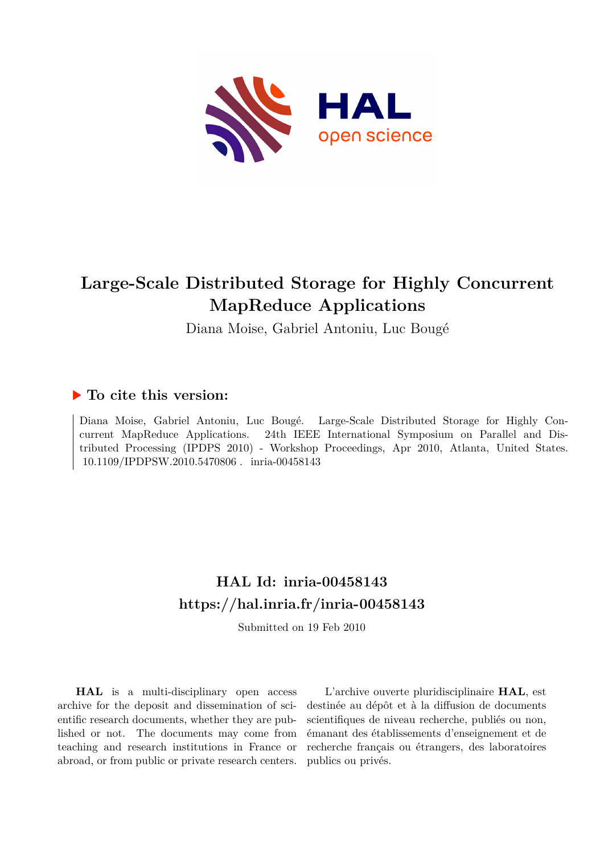

## **Large-Scale Distributed Storage for Highly Concurrent MapReduce Applications**

Diana Moise, Gabriel Antoniu, Luc Bougé

### **To cite this version:**

Diana Moise, Gabriel Antoniu, Luc Bougé. Large-Scale Distributed Storage for Highly Concurrent MapReduce Applications. 24th IEEE International Symposium on Parallel and Distributed Processing (IPDPS 2010) - Workshop Proceedings, Apr 2010, Atlanta, United States. 10.1109/IPDPSW.2010.5470806. inria-00458143

## **HAL Id: inria-00458143 <https://hal.inria.fr/inria-00458143>**

Submitted on 19 Feb 2010

**HAL** is a multi-disciplinary open access archive for the deposit and dissemination of scientific research documents, whether they are published or not. The documents may come from teaching and research institutions in France or abroad, or from public or private research centers.

L'archive ouverte pluridisciplinaire **HAL**, est destinée au dépôt et à la diffusion de documents scientifiques de niveau recherche, publiés ou non, émanant des établissements d'enseignement et de recherche français ou étrangers, des laboratoires publics ou privés.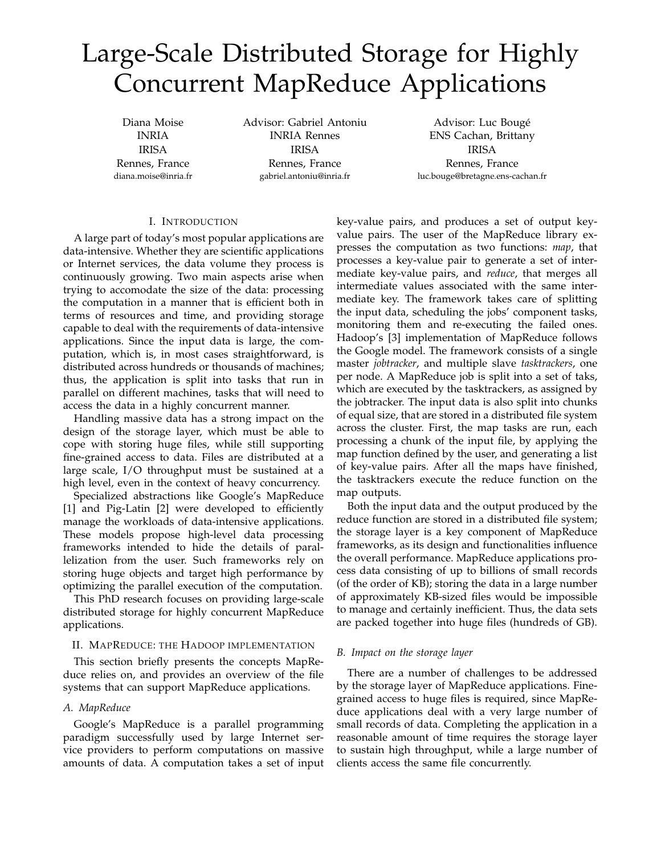# Large-Scale Distributed Storage for Highly Concurrent MapReduce Applications

Diana Moise INRIA IRISA Rennes, France diana.moise@inria.fr Advisor: Gabriel Antoniu INRIA Rennes IRISA Rennes, France gabriel.antoniu@inria.fr

Advisor: Luc Bougé ENS Cachan, Brittany IRISA Rennes, France luc.bouge@bretagne.ens-cachan.fr

#### I. INTRODUCTION

A large part of today's most popular applications are data-intensive. Whether they are scientific applications or Internet services, the data volume they process is continuously growing. Two main aspects arise when trying to accomodate the size of the data: processing the computation in a manner that is efficient both in terms of resources and time, and providing storage capable to deal with the requirements of data-intensive applications. Since the input data is large, the computation, which is, in most cases straightforward, is distributed across hundreds or thousands of machines; thus, the application is split into tasks that run in parallel on different machines, tasks that will need to access the data in a highly concurrent manner.

Handling massive data has a strong impact on the design of the storage layer, which must be able to cope with storing huge files, while still supporting fine-grained access to data. Files are distributed at a large scale, I/O throughput must be sustained at a high level, even in the context of heavy concurrency.

Specialized abstractions like Google's MapReduce [1] and Pig-Latin [2] were developed to efficiently manage the workloads of data-intensive applications. These models propose high-level data processing frameworks intended to hide the details of parallelization from the user. Such frameworks rely on storing huge objects and target high performance by optimizing the parallel execution of the computation.

This PhD research focuses on providing large-scale distributed storage for highly concurrent MapReduce applications.

#### II. MAPREDUCE: THE HADOOP IMPLEMENTATION

This section briefly presents the concepts MapReduce relies on, and provides an overview of the file systems that can support MapReduce applications.

#### *A. MapReduce*

Google's MapReduce is a parallel programming paradigm successfully used by large Internet service providers to perform computations on massive amounts of data. A computation takes a set of input

key-value pairs, and produces a set of output keyvalue pairs. The user of the MapReduce library expresses the computation as two functions: *map*, that processes a key-value pair to generate a set of intermediate key-value pairs, and *reduce*, that merges all intermediate values associated with the same intermediate key. The framework takes care of splitting the input data, scheduling the jobs' component tasks, monitoring them and re-executing the failed ones. Hadoop's [3] implementation of MapReduce follows the Google model. The framework consists of a single master *jobtracker*, and multiple slave *tasktrackers*, one per node. A MapReduce job is split into a set of taks, which are executed by the tasktrackers, as assigned by the jobtracker. The input data is also split into chunks of equal size, that are stored in a distributed file system across the cluster. First, the map tasks are run, each processing a chunk of the input file, by applying the map function defined by the user, and generating a list of key-value pairs. After all the maps have finished, the tasktrackers execute the reduce function on the map outputs.

Both the input data and the output produced by the reduce function are stored in a distributed file system; the storage layer is a key component of MapReduce frameworks, as its design and functionalities influence the overall performance. MapReduce applications process data consisting of up to billions of small records (of the order of KB); storing the data in a large number of approximately KB-sized files would be impossible to manage and certainly inefficient. Thus, the data sets are packed together into huge files (hundreds of GB).

#### *B. Impact on the storage layer*

There are a number of challenges to be addressed by the storage layer of MapReduce applications. Finegrained access to huge files is required, since MapReduce applications deal with a very large number of small records of data. Completing the application in a reasonable amount of time requires the storage layer to sustain high throughput, while a large number of clients access the same file concurrently.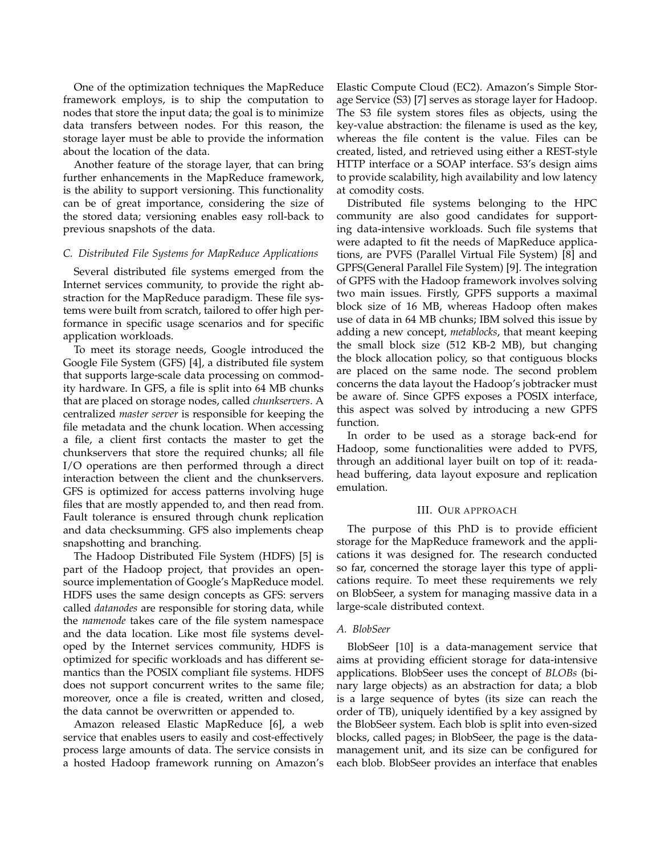One of the optimization techniques the MapReduce framework employs, is to ship the computation to nodes that store the input data; the goal is to minimize data transfers between nodes. For this reason, the storage layer must be able to provide the information about the location of the data.

Another feature of the storage layer, that can bring further enhancements in the MapReduce framework, is the ability to support versioning. This functionality can be of great importance, considering the size of the stored data; versioning enables easy roll-back to previous snapshots of the data.

#### *C. Distributed File Systems for MapReduce Applications*

Several distributed file systems emerged from the Internet services community, to provide the right abstraction for the MapReduce paradigm. These file systems were built from scratch, tailored to offer high performance in specific usage scenarios and for specific application workloads.

To meet its storage needs, Google introduced the Google File System (GFS) [4], a distributed file system that supports large-scale data processing on commodity hardware. In GFS, a file is split into 64 MB chunks that are placed on storage nodes, called *chunkservers*. A centralized *master server* is responsible for keeping the file metadata and the chunk location. When accessing a file, a client first contacts the master to get the chunkservers that store the required chunks; all file I/O operations are then performed through a direct interaction between the client and the chunkservers. GFS is optimized for access patterns involving huge files that are mostly appended to, and then read from. Fault tolerance is ensured through chunk replication and data checksumming. GFS also implements cheap snapshotting and branching.

The Hadoop Distributed File System (HDFS) [5] is part of the Hadoop project, that provides an opensource implementation of Google's MapReduce model. HDFS uses the same design concepts as GFS: servers called *datanodes* are responsible for storing data, while the *namenode* takes care of the file system namespace and the data location. Like most file systems developed by the Internet services community, HDFS is optimized for specific workloads and has different semantics than the POSIX compliant file systems. HDFS does not support concurrent writes to the same file; moreover, once a file is created, written and closed, the data cannot be overwritten or appended to.

Amazon released Elastic MapReduce [6], a web service that enables users to easily and cost-effectively process large amounts of data. The service consists in a hosted Hadoop framework running on Amazon's Elastic Compute Cloud (EC2). Amazon's Simple Storage Service (S3) [7] serves as storage layer for Hadoop. The S3 file system stores files as objects, using the key-value abstraction: the filename is used as the key, whereas the file content is the value. Files can be created, listed, and retrieved using either a REST-style HTTP interface or a SOAP interface. S3's design aims to provide scalability, high availability and low latency at comodity costs.

Distributed file systems belonging to the HPC community are also good candidates for supporting data-intensive workloads. Such file systems that were adapted to fit the needs of MapReduce applications, are PVFS (Parallel Virtual File System) [8] and GPFS(General Parallel File System) [9]. The integration of GPFS with the Hadoop framework involves solving two main issues. Firstly, GPFS supports a maximal block size of 16 MB, whereas Hadoop often makes use of data in 64 MB chunks; IBM solved this issue by adding a new concept, *metablocks*, that meant keeping the small block size (512 KB-2 MB), but changing the block allocation policy, so that contiguous blocks are placed on the same node. The second problem concerns the data layout the Hadoop's jobtracker must be aware of. Since GPFS exposes a POSIX interface, this aspect was solved by introducing a new GPFS function.

In order to be used as a storage back-end for Hadoop, some functionalities were added to PVFS, through an additional layer built on top of it: readahead buffering, data layout exposure and replication emulation.

#### III. OUR APPROACH

The purpose of this PhD is to provide efficient storage for the MapReduce framework and the applications it was designed for. The research conducted so far, concerned the storage layer this type of applications require. To meet these requirements we rely on BlobSeer, a system for managing massive data in a large-scale distributed context.

#### *A. BlobSeer*

BlobSeer [10] is a data-management service that aims at providing efficient storage for data-intensive applications. BlobSeer uses the concept of *BLOBs* (binary large objects) as an abstraction for data; a blob is a large sequence of bytes (its size can reach the order of TB), uniquely identified by a key assigned by the BlobSeer system. Each blob is split into even-sized blocks, called pages; in BlobSeer, the page is the datamanagement unit, and its size can be configured for each blob. BlobSeer provides an interface that enables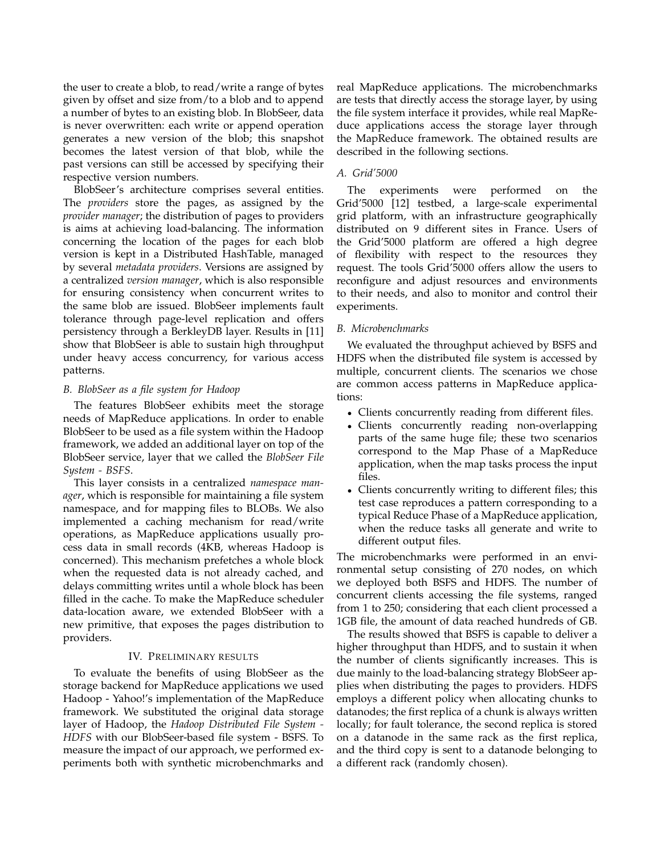the user to create a blob, to read/write a range of bytes given by offset and size from/to a blob and to append a number of bytes to an existing blob. In BlobSeer, data is never overwritten: each write or append operation generates a new version of the blob; this snapshot becomes the latest version of that blob, while the past versions can still be accessed by specifying their respective version numbers.

BlobSeer's architecture comprises several entities. The *providers* store the pages, as assigned by the *provider manager*; the distribution of pages to providers is aims at achieving load-balancing. The information concerning the location of the pages for each blob version is kept in a Distributed HashTable, managed by several *metadata providers*. Versions are assigned by a centralized *version manager*, which is also responsible for ensuring consistency when concurrent writes to the same blob are issued. BlobSeer implements fault tolerance through page-level replication and offers persistency through a BerkleyDB layer. Results in [11] show that BlobSeer is able to sustain high throughput under heavy access concurrency, for various access patterns.

#### *B. BlobSeer as a file system for Hadoop*

The features BlobSeer exhibits meet the storage needs of MapReduce applications. In order to enable BlobSeer to be used as a file system within the Hadoop framework, we added an additional layer on top of the BlobSeer service, layer that we called the *BlobSeer File System - BSFS*.

This layer consists in a centralized *namespace manager*, which is responsible for maintaining a file system namespace, and for mapping files to BLOBs. We also implemented a caching mechanism for read/write operations, as MapReduce applications usually process data in small records (4KB, whereas Hadoop is concerned). This mechanism prefetches a whole block when the requested data is not already cached, and delays committing writes until a whole block has been filled in the cache. To make the MapReduce scheduler data-location aware, we extended BlobSeer with a new primitive, that exposes the pages distribution to providers.

#### IV. PRELIMINARY RESULTS

To evaluate the benefits of using BlobSeer as the storage backend for MapReduce applications we used Hadoop - Yahoo!'s implementation of the MapReduce framework. We substituted the original data storage layer of Hadoop, the *Hadoop Distributed File System - HDFS* with our BlobSeer-based file system - BSFS. To measure the impact of our approach, we performed experiments both with synthetic microbenchmarks and real MapReduce applications. The microbenchmarks are tests that directly access the storage layer, by using the file system interface it provides, while real MapReduce applications access the storage layer through the MapReduce framework. The obtained results are described in the following sections.

#### *A. Grid'5000*

The experiments were performed on the Grid'5000 [12] testbed, a large-scale experimental grid platform, with an infrastructure geographically distributed on 9 different sites in France. Users of the Grid'5000 platform are offered a high degree of flexibility with respect to the resources they request. The tools Grid'5000 offers allow the users to reconfigure and adjust resources and environments to their needs, and also to monitor and control their experiments.

#### *B. Microbenchmarks*

We evaluated the throughput achieved by BSFS and HDFS when the distributed file system is accessed by multiple, concurrent clients. The scenarios we chose are common access patterns in MapReduce applications:

- Clients concurrently reading from different files.
- Clients concurrently reading non-overlapping parts of the same huge file; these two scenarios correspond to the Map Phase of a MapReduce application, when the map tasks process the input files.
- Clients concurrently writing to different files; this test case reproduces a pattern corresponding to a typical Reduce Phase of a MapReduce application, when the reduce tasks all generate and write to different output files.

The microbenchmarks were performed in an environmental setup consisting of 270 nodes, on which we deployed both BSFS and HDFS. The number of concurrent clients accessing the file systems, ranged from 1 to 250; considering that each client processed a 1GB file, the amount of data reached hundreds of GB.

The results showed that BSFS is capable to deliver a higher throughput than HDFS, and to sustain it when the number of clients significantly increases. This is due mainly to the load-balancing strategy BlobSeer applies when distributing the pages to providers. HDFS employs a different policy when allocating chunks to datanodes; the first replica of a chunk is always written locally; for fault tolerance, the second replica is stored on a datanode in the same rack as the first replica, and the third copy is sent to a datanode belonging to a different rack (randomly chosen).